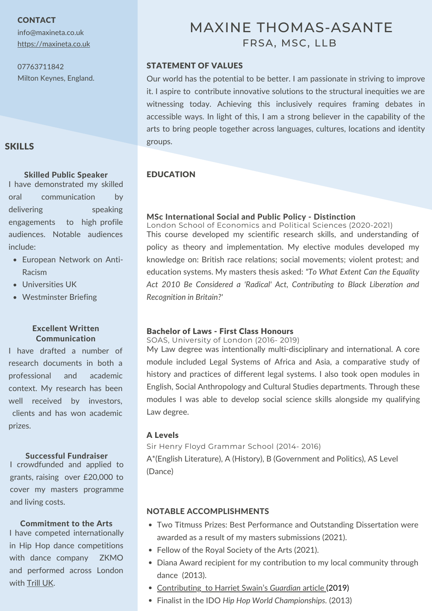**CONTACT** 

info@maxineta.co.uk [https://maxineta.co.uk](https://maxineta.co.uk/)

07763711842 Milton Keynes, England.

## SKILLS

## Skilled Public Speaker **EDUCATION**

I have demonstrated my skilled oral communication by delivering speaking engagements to high profile audiences. Notable audiences include:

- European Network on Anti-Racism
- Universities UK
- Westminster Briefing

## Excellent Written Communication

I have drafted a number of research documents in both a professional and academic context. My research has been well received by investors, clients and has won academic prizes.

#### Successful Fundraiser

I crowdfunded and applied to grants, raising over £20,000 to cover my masters programme and living costs.

#### Commitment to the Arts

I have competed internationally in Hip Hop dance competitions with dance company ZKMO and performed across London with [Trill](https://www.youtube.com/watch?v=WueqN5IvxYU) UK.

# MAXINE THOMAS-ASANTE FRSA, MSC, LLB

## STATEMENT OF VALUES

Our world has the potential to be better. I am passionate in striving to improve it. I aspire to contribute innovative solutions to the structural inequities we are witnessing today. Achieving this inclusively requires framing debates in accessible ways. In light of this, I am a strong believer in the capability of the arts to bring people together across languages, cultures, locations and identity groups.

### MSc International Social and Public Policy - Distinction

This course developed my scientific research skills, and understanding of policy as theory and implementation. My elective modules developed my knowledge on: British race relations; social movements; violent protest; and education systems. My masters thesis asked: *"To What Extent Can the Equality Act 2010 Be Considered a 'Radical' Act, Contributing to Black Liberation and Recognition in Britain?'* London School of Economics and Political Sciences (2020-2021)

## Bachelor of Laws - First Class Honours

SOAS, University of London (2016- 2019)

My Law degree was intentionally multi-disciplinary and international. A core module included Legal Systems of Africa and Asia, a comparative study of history and practices of different legal systems. I also took open modules in English, Social Anthropology and Cultural Studies departments. Through these modules I was able to develop social science skills alongside my qualifying Law degree.

## A Levels

A\*(English Literature), A (History), B (Government and Politics), AS Level (Dance) Sir Henry Floyd Grammar School (2014- 2016)

## NOTABLE ACCOMPLISHMENTS

- Two Titmuss Prizes: Best Performance and Outstanding Dissertation were awarded as a result of my masters submissions (2021).
- Fellow of the Royal Society of the Arts (2021).
- Diana Award recipient for my contribution to my local community through dance (2013).
- [Contributing](https://www.theguardian.com/education/2019/jul/02/black-academics-bear-brunt-of-university-work-on-race-equality) to Harriet [Swain's](https://www.theguardian.com/education/2019/jul/02/black-academics-bear-brunt-of-university-work-on-race-equality) *[Guardian](https://www.theguardian.com/education/2019/jul/02/black-academics-bear-brunt-of-university-work-on-race-equality)* [article](https://www.theguardian.com/education/2019/jul/02/black-academics-bear-brunt-of-university-work-on-race-equality) (2019)
- Finalist in the IDO *Hip Hop World Championships.* (2013)